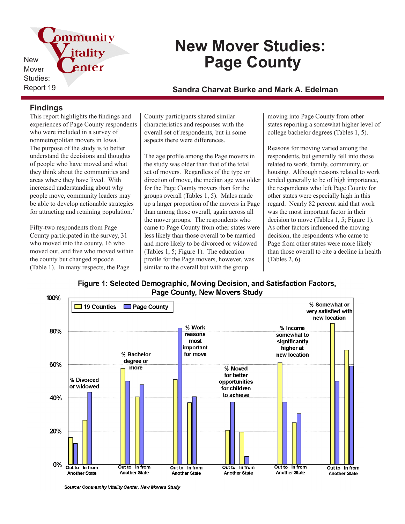

# **New Mover Studies: Page County**

Report 19 **Sandra Charvat Burke and Mark A. Edelman**

### **Findings**

This report highlights the findings and experiences of Page County respondents who were included in a survey of nonmetropolitan movers in Iowa.<sup>1</sup> The purpose of the study is to better understand the decisions and thoughts of people who have moved and what they think about the communities and areas where they have lived. With increased understanding about why people move, community leaders may be able to develop actionable strategies for attracting and retaining population.<sup>2</sup>

Fifty-two respondents from Page County participated in the survey, 31 who moved into the county, 16 who moved out, and five who moved within the county but changed zipcode (Table 1). In many respects, the Page

County participants shared similar characteristics and responses with the overall set of respondents, but in some aspects there were differences.

The age profile among the Page movers in the study was older than that of the total set of movers. Regardless of the type or direction of move, the median age was older for the Page County movers than for the groups overall (Tables 1, 5). Males made up a larger proportion of the movers in Page than among those overall, again across all the mover groups. The respondents who came to Page County from other states were less likely than those overall to be married and more likely to be divorced or widowed (Tables 1, 5; Figure 1). The education profile for the Page movers, however, was similar to the overall but with the group

moving into Page County from other states reporting a somewhat higher level of college bachelor degrees (Tables 1, 5).

Reasons for moving varied among the respondents, but generally fell into those related to work, family, community, or housing. Although reasons related to work tended generally to be of high importance, the respondents who left Page County for other states were especially high in this regard. Nearly 82 percent said that work was the most important factor in their decision to move (Tables 1, 5; Figure 1). As other factors influenced the moving decision, the respondents who came to Page from other states were more likely than those overall to cite a decline in health (Tables 2, 6).





Source: Community Vitality Center, New Movers Study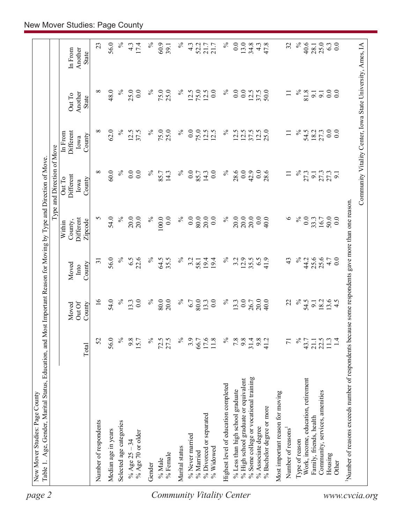| $\%$<br>56.0<br>$\%$<br>0.0<br>$13.0$<br>$34.8$<br>40.6<br>0.0<br>23<br>17.4<br>$\%$<br>60.9<br>$\%$<br>$\%$<br>47.8<br>25.0<br>6.3<br>4.3<br>$4.\overline{3}$<br>52.2<br>4.3<br>32<br>$21.7$<br>$21.7$<br>39.1<br>28.1<br>In From<br>Another<br>State<br>∞<br>48.0<br>$\%$<br>25.0<br>0.0<br>75.0<br>12.5<br>75.0<br>12.5<br>$\overline{0}$ .<br>$\%$<br>0.0<br>0.0<br>$\%$<br>81.8<br>0.0<br>$\%$<br>25.0<br>$\%$<br>50.0<br>$\overline{0.0}$<br>12.5<br>37.5<br>9.1<br>9.1<br>$\Xi$<br>Another<br>Out To<br><b>State</b><br>62.0<br>$\%$<br>75.0<br>$\%$<br>0.0<br>$\%$<br>$\overline{0}$ .<br>0.0<br>∞<br>12.5<br>న<br>25.0<br>75.0<br>12.5<br>$\%$<br>12.5<br>$12.5$<br>$25.0$<br>54.5<br>18.2<br>27.3<br>37.5<br>12.5<br>37.5<br>Different<br>$\Box$<br>In From<br>County<br>Iowa<br>$\%$<br>${}^{\circ}$<br>60.0<br>$\%$<br>0.0<br>0.0<br>$\%$<br>0.0<br>$\%$<br>28.6<br>0.0<br>42.9<br>$\%$<br>14.3<br>$\overline{0.0}$<br>0.0<br>28.6<br>85.7<br>14.3<br>85.7<br>27.3<br>$\Box$<br>27.3<br>27.3<br>$\overline{9}$ .<br>Different<br>Out To<br>County<br>Iowa<br>20.0<br>5<br>54.0<br>$\%$<br>20.0<br>$\%$<br>100.0<br>0.0<br>$\%$<br>0.0<br>80.0<br>20.0<br>$\%$<br>20.0<br>20.0<br>0.0<br>40.0<br>$\circ$<br>$\%$<br>0.0<br>50.0<br>20.0<br>0.0<br>33.3<br>16.7<br>0.0<br>Different<br>County,<br>Zipcode<br>Within<br>56.0<br>$\%$<br>6.5<br>22.6<br>$\%$<br>64.5<br>$\%$<br>$\%$<br>12.9<br>$\%$<br>25.6<br>25.6<br>35.5<br>3.2<br>3.2<br>35.5<br>6.5<br>41.9<br>43<br>44.2<br>4.7<br>0.0<br>58.1<br>19.4<br>19.4<br>$\overline{31}$<br>County<br>Moved<br>Into<br>54.0<br>$\%$<br>$\%$<br>$\%$<br>$\%$<br>$\overline{5}$<br>0.0<br>$\%$<br>80.0<br>80.0<br>0.0<br>13.3<br>0.0<br>20.0<br>54.5<br>13.3<br>20.0<br>13.3<br>40.0<br>22<br>18.2<br>13.6<br>6.7<br>26.7<br>4.5<br>$\overline{9}$ .<br>Out Of<br>County<br>Moved<br>56.0<br>$\%$<br>$\%$<br>$\%$<br>$\%$<br>9.8<br>$\%$<br>52<br>9.8<br>$72.5$<br>27.5<br>3.9<br>$66.7$<br>17.6<br>11.8<br>7.8<br>$31.4$<br>$9.8$<br>$41.2$<br>$\frac{21.1}{22.5}$<br>15.7<br>43.7<br>$\overline{7}$<br>Total<br>% Some college or vocational training<br>Work, income, education, retirement<br>% High school graduate or equivalent<br>Highest level of education completed<br>% Less than high school graduate<br>Community, services, amenities<br>Most important reason for moving<br>% Bachelor degree or more<br>% Divorced or separated<br>Family, friends, health<br>Number of respondents<br>Selected age categories<br>% Associate degree<br>Number of reasons<br>Median age in years<br>% Age 70 or older<br>% Never married<br>Type of reason<br>% Age $25 - 34$<br>Marital status<br>% Widowed<br>% Married<br>% Female<br>Housing<br>% Male<br>Other<br>Gender | Community Vitality Center, Iowa State University, Ames, IA<br>Number of reasons exceeds number of respondents because some respondents gave more than one reason. |  |  |  | Type and Direction of Move |  |  |
|--------------------------------------------------------------------------------------------------------------------------------------------------------------------------------------------------------------------------------------------------------------------------------------------------------------------------------------------------------------------------------------------------------------------------------------------------------------------------------------------------------------------------------------------------------------------------------------------------------------------------------------------------------------------------------------------------------------------------------------------------------------------------------------------------------------------------------------------------------------------------------------------------------------------------------------------------------------------------------------------------------------------------------------------------------------------------------------------------------------------------------------------------------------------------------------------------------------------------------------------------------------------------------------------------------------------------------------------------------------------------------------------------------------------------------------------------------------------------------------------------------------------------------------------------------------------------------------------------------------------------------------------------------------------------------------------------------------------------------------------------------------------------------------------------------------------------------------------------------------------------------------------------------------------------------------------------------------------------------------------------------------------------------------------------------------------------------------------------------------------------------------------------------------------------------------------------------------------------------------------------------------------------------------------------------------------------------------------------------------------------------------------------------------------------------------------------------------------------------------------------------------------------------------------------------------------------------------------------------------------------------------------------------------------------------------------------------------------------------------|-------------------------------------------------------------------------------------------------------------------------------------------------------------------|--|--|--|----------------------------|--|--|
|                                                                                                                                                                                                                                                                                                                                                                                                                                                                                                                                                                                                                                                                                                                                                                                                                                                                                                                                                                                                                                                                                                                                                                                                                                                                                                                                                                                                                                                                                                                                                                                                                                                                                                                                                                                                                                                                                                                                                                                                                                                                                                                                                                                                                                                                                                                                                                                                                                                                                                                                                                                                                                                                                                                                      |                                                                                                                                                                   |  |  |  |                            |  |  |
|                                                                                                                                                                                                                                                                                                                                                                                                                                                                                                                                                                                                                                                                                                                                                                                                                                                                                                                                                                                                                                                                                                                                                                                                                                                                                                                                                                                                                                                                                                                                                                                                                                                                                                                                                                                                                                                                                                                                                                                                                                                                                                                                                                                                                                                                                                                                                                                                                                                                                                                                                                                                                                                                                                                                      |                                                                                                                                                                   |  |  |  |                            |  |  |
|                                                                                                                                                                                                                                                                                                                                                                                                                                                                                                                                                                                                                                                                                                                                                                                                                                                                                                                                                                                                                                                                                                                                                                                                                                                                                                                                                                                                                                                                                                                                                                                                                                                                                                                                                                                                                                                                                                                                                                                                                                                                                                                                                                                                                                                                                                                                                                                                                                                                                                                                                                                                                                                                                                                                      |                                                                                                                                                                   |  |  |  |                            |  |  |
|                                                                                                                                                                                                                                                                                                                                                                                                                                                                                                                                                                                                                                                                                                                                                                                                                                                                                                                                                                                                                                                                                                                                                                                                                                                                                                                                                                                                                                                                                                                                                                                                                                                                                                                                                                                                                                                                                                                                                                                                                                                                                                                                                                                                                                                                                                                                                                                                                                                                                                                                                                                                                                                                                                                                      |                                                                                                                                                                   |  |  |  |                            |  |  |
|                                                                                                                                                                                                                                                                                                                                                                                                                                                                                                                                                                                                                                                                                                                                                                                                                                                                                                                                                                                                                                                                                                                                                                                                                                                                                                                                                                                                                                                                                                                                                                                                                                                                                                                                                                                                                                                                                                                                                                                                                                                                                                                                                                                                                                                                                                                                                                                                                                                                                                                                                                                                                                                                                                                                      |                                                                                                                                                                   |  |  |  |                            |  |  |
| <b>Community Vitality Center</b>                                                                                                                                                                                                                                                                                                                                                                                                                                                                                                                                                                                                                                                                                                                                                                                                                                                                                                                                                                                                                                                                                                                                                                                                                                                                                                                                                                                                                                                                                                                                                                                                                                                                                                                                                                                                                                                                                                                                                                                                                                                                                                                                                                                                                                                                                                                                                                                                                                                                                                                                                                                                                                                                                                     |                                                                                                                                                                   |  |  |  |                            |  |  |
|                                                                                                                                                                                                                                                                                                                                                                                                                                                                                                                                                                                                                                                                                                                                                                                                                                                                                                                                                                                                                                                                                                                                                                                                                                                                                                                                                                                                                                                                                                                                                                                                                                                                                                                                                                                                                                                                                                                                                                                                                                                                                                                                                                                                                                                                                                                                                                                                                                                                                                                                                                                                                                                                                                                                      |                                                                                                                                                                   |  |  |  |                            |  |  |
|                                                                                                                                                                                                                                                                                                                                                                                                                                                                                                                                                                                                                                                                                                                                                                                                                                                                                                                                                                                                                                                                                                                                                                                                                                                                                                                                                                                                                                                                                                                                                                                                                                                                                                                                                                                                                                                                                                                                                                                                                                                                                                                                                                                                                                                                                                                                                                                                                                                                                                                                                                                                                                                                                                                                      |                                                                                                                                                                   |  |  |  |                            |  |  |
|                                                                                                                                                                                                                                                                                                                                                                                                                                                                                                                                                                                                                                                                                                                                                                                                                                                                                                                                                                                                                                                                                                                                                                                                                                                                                                                                                                                                                                                                                                                                                                                                                                                                                                                                                                                                                                                                                                                                                                                                                                                                                                                                                                                                                                                                                                                                                                                                                                                                                                                                                                                                                                                                                                                                      |                                                                                                                                                                   |  |  |  |                            |  |  |
|                                                                                                                                                                                                                                                                                                                                                                                                                                                                                                                                                                                                                                                                                                                                                                                                                                                                                                                                                                                                                                                                                                                                                                                                                                                                                                                                                                                                                                                                                                                                                                                                                                                                                                                                                                                                                                                                                                                                                                                                                                                                                                                                                                                                                                                                                                                                                                                                                                                                                                                                                                                                                                                                                                                                      | www.cvcia.org                                                                                                                                                     |  |  |  |                            |  |  |
|                                                                                                                                                                                                                                                                                                                                                                                                                                                                                                                                                                                                                                                                                                                                                                                                                                                                                                                                                                                                                                                                                                                                                                                                                                                                                                                                                                                                                                                                                                                                                                                                                                                                                                                                                                                                                                                                                                                                                                                                                                                                                                                                                                                                                                                                                                                                                                                                                                                                                                                                                                                                                                                                                                                                      |                                                                                                                                                                   |  |  |  |                            |  |  |
|                                                                                                                                                                                                                                                                                                                                                                                                                                                                                                                                                                                                                                                                                                                                                                                                                                                                                                                                                                                                                                                                                                                                                                                                                                                                                                                                                                                                                                                                                                                                                                                                                                                                                                                                                                                                                                                                                                                                                                                                                                                                                                                                                                                                                                                                                                                                                                                                                                                                                                                                                                                                                                                                                                                                      |                                                                                                                                                                   |  |  |  |                            |  |  |
|                                                                                                                                                                                                                                                                                                                                                                                                                                                                                                                                                                                                                                                                                                                                                                                                                                                                                                                                                                                                                                                                                                                                                                                                                                                                                                                                                                                                                                                                                                                                                                                                                                                                                                                                                                                                                                                                                                                                                                                                                                                                                                                                                                                                                                                                                                                                                                                                                                                                                                                                                                                                                                                                                                                                      |                                                                                                                                                                   |  |  |  |                            |  |  |
|                                                                                                                                                                                                                                                                                                                                                                                                                                                                                                                                                                                                                                                                                                                                                                                                                                                                                                                                                                                                                                                                                                                                                                                                                                                                                                                                                                                                                                                                                                                                                                                                                                                                                                                                                                                                                                                                                                                                                                                                                                                                                                                                                                                                                                                                                                                                                                                                                                                                                                                                                                                                                                                                                                                                      |                                                                                                                                                                   |  |  |  |                            |  |  |
|                                                                                                                                                                                                                                                                                                                                                                                                                                                                                                                                                                                                                                                                                                                                                                                                                                                                                                                                                                                                                                                                                                                                                                                                                                                                                                                                                                                                                                                                                                                                                                                                                                                                                                                                                                                                                                                                                                                                                                                                                                                                                                                                                                                                                                                                                                                                                                                                                                                                                                                                                                                                                                                                                                                                      |                                                                                                                                                                   |  |  |  |                            |  |  |
|                                                                                                                                                                                                                                                                                                                                                                                                                                                                                                                                                                                                                                                                                                                                                                                                                                                                                                                                                                                                                                                                                                                                                                                                                                                                                                                                                                                                                                                                                                                                                                                                                                                                                                                                                                                                                                                                                                                                                                                                                                                                                                                                                                                                                                                                                                                                                                                                                                                                                                                                                                                                                                                                                                                                      |                                                                                                                                                                   |  |  |  |                            |  |  |
|                                                                                                                                                                                                                                                                                                                                                                                                                                                                                                                                                                                                                                                                                                                                                                                                                                                                                                                                                                                                                                                                                                                                                                                                                                                                                                                                                                                                                                                                                                                                                                                                                                                                                                                                                                                                                                                                                                                                                                                                                                                                                                                                                                                                                                                                                                                                                                                                                                                                                                                                                                                                                                                                                                                                      |                                                                                                                                                                   |  |  |  |                            |  |  |
|                                                                                                                                                                                                                                                                                                                                                                                                                                                                                                                                                                                                                                                                                                                                                                                                                                                                                                                                                                                                                                                                                                                                                                                                                                                                                                                                                                                                                                                                                                                                                                                                                                                                                                                                                                                                                                                                                                                                                                                                                                                                                                                                                                                                                                                                                                                                                                                                                                                                                                                                                                                                                                                                                                                                      |                                                                                                                                                                   |  |  |  |                            |  |  |
|                                                                                                                                                                                                                                                                                                                                                                                                                                                                                                                                                                                                                                                                                                                                                                                                                                                                                                                                                                                                                                                                                                                                                                                                                                                                                                                                                                                                                                                                                                                                                                                                                                                                                                                                                                                                                                                                                                                                                                                                                                                                                                                                                                                                                                                                                                                                                                                                                                                                                                                                                                                                                                                                                                                                      |                                                                                                                                                                   |  |  |  |                            |  |  |
|                                                                                                                                                                                                                                                                                                                                                                                                                                                                                                                                                                                                                                                                                                                                                                                                                                                                                                                                                                                                                                                                                                                                                                                                                                                                                                                                                                                                                                                                                                                                                                                                                                                                                                                                                                                                                                                                                                                                                                                                                                                                                                                                                                                                                                                                                                                                                                                                                                                                                                                                                                                                                                                                                                                                      |                                                                                                                                                                   |  |  |  |                            |  |  |
|                                                                                                                                                                                                                                                                                                                                                                                                                                                                                                                                                                                                                                                                                                                                                                                                                                                                                                                                                                                                                                                                                                                                                                                                                                                                                                                                                                                                                                                                                                                                                                                                                                                                                                                                                                                                                                                                                                                                                                                                                                                                                                                                                                                                                                                                                                                                                                                                                                                                                                                                                                                                                                                                                                                                      |                                                                                                                                                                   |  |  |  |                            |  |  |
|                                                                                                                                                                                                                                                                                                                                                                                                                                                                                                                                                                                                                                                                                                                                                                                                                                                                                                                                                                                                                                                                                                                                                                                                                                                                                                                                                                                                                                                                                                                                                                                                                                                                                                                                                                                                                                                                                                                                                                                                                                                                                                                                                                                                                                                                                                                                                                                                                                                                                                                                                                                                                                                                                                                                      |                                                                                                                                                                   |  |  |  |                            |  |  |
|                                                                                                                                                                                                                                                                                                                                                                                                                                                                                                                                                                                                                                                                                                                                                                                                                                                                                                                                                                                                                                                                                                                                                                                                                                                                                                                                                                                                                                                                                                                                                                                                                                                                                                                                                                                                                                                                                                                                                                                                                                                                                                                                                                                                                                                                                                                                                                                                                                                                                                                                                                                                                                                                                                                                      |                                                                                                                                                                   |  |  |  |                            |  |  |
|                                                                                                                                                                                                                                                                                                                                                                                                                                                                                                                                                                                                                                                                                                                                                                                                                                                                                                                                                                                                                                                                                                                                                                                                                                                                                                                                                                                                                                                                                                                                                                                                                                                                                                                                                                                                                                                                                                                                                                                                                                                                                                                                                                                                                                                                                                                                                                                                                                                                                                                                                                                                                                                                                                                                      |                                                                                                                                                                   |  |  |  |                            |  |  |
|                                                                                                                                                                                                                                                                                                                                                                                                                                                                                                                                                                                                                                                                                                                                                                                                                                                                                                                                                                                                                                                                                                                                                                                                                                                                                                                                                                                                                                                                                                                                                                                                                                                                                                                                                                                                                                                                                                                                                                                                                                                                                                                                                                                                                                                                                                                                                                                                                                                                                                                                                                                                                                                                                                                                      |                                                                                                                                                                   |  |  |  |                            |  |  |
|                                                                                                                                                                                                                                                                                                                                                                                                                                                                                                                                                                                                                                                                                                                                                                                                                                                                                                                                                                                                                                                                                                                                                                                                                                                                                                                                                                                                                                                                                                                                                                                                                                                                                                                                                                                                                                                                                                                                                                                                                                                                                                                                                                                                                                                                                                                                                                                                                                                                                                                                                                                                                                                                                                                                      |                                                                                                                                                                   |  |  |  |                            |  |  |
|                                                                                                                                                                                                                                                                                                                                                                                                                                                                                                                                                                                                                                                                                                                                                                                                                                                                                                                                                                                                                                                                                                                                                                                                                                                                                                                                                                                                                                                                                                                                                                                                                                                                                                                                                                                                                                                                                                                                                                                                                                                                                                                                                                                                                                                                                                                                                                                                                                                                                                                                                                                                                                                                                                                                      |                                                                                                                                                                   |  |  |  |                            |  |  |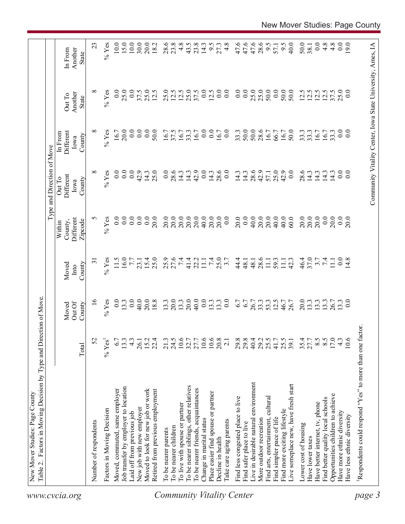|                                  |                                                         |                      |                           |                         |                                           | Type and Direction of Move            |                                                            |                            |                             |
|----------------------------------|---------------------------------------------------------|----------------------|---------------------------|-------------------------|-------------------------------------------|---------------------------------------|------------------------------------------------------------|----------------------------|-----------------------------|
| www.cvcia.org                    |                                                         | Total                | Out Of<br>County<br>Moved | County<br>Moved<br>Into | Different<br>Zipcode<br>County,<br>Within | Different<br>Out To<br>County<br>Iowa | Different<br>In From<br>County<br>Iowa                     | Another<br>Out To<br>State | Another<br>In From<br>State |
|                                  | Number of respondents                                   | 52                   | $\frac{1}{6}$             | $\overline{31}$         | S                                         | ${}^{\circ}$                          | $\infty$                                                   | ${}^{\circ}$               | 23                          |
|                                  | Factors in Moving Decision                              | $%$ Yes <sup>1</sup> | $%$ Yes                   | $%$ Yes                 | $%$ Yes                                   | $%$ Yes                               | $%$ Yes                                                    | $%$ Yes                    | $%$ Yes                     |
|                                  | Moved, commuted, same employer                          | 6.7                  | 0.0                       | 11.5                    | 0.0                                       | 0.0                                   | 16.7                                                       | 0.0                        | 10.0                        |
|                                  | Job transfer by employer to location                    | 13.3                 | 13.3                      | 16.0                    | $\overline{0.0}$                          | 0.0                                   | 20.0                                                       | 25.0                       | 15.0                        |
|                                  | Laid off from previous job                              | $4.\overline{3}$     | 0.0                       | $7.7\,$                 | 0.0                                       | $\overline{0.0}$                      | 0.0                                                        | 0.0                        | 10.0                        |
|                                  | New job with new employer                               |                      | 40.0                      | 23.1                    | $\overline{0.0}$                          | 42.9                                  | 0.0                                                        | 37.5                       | 30.0                        |
|                                  | Moved to look for new job or work                       | 26.1<br>15.2         | 20.0                      | 15.4                    | 0.0                                       | 14.3                                  | $\overline{0.0}$                                           | 25.0                       | 20.0                        |
|                                  | Retired from previous employment                        | 22.4                 | 18.8                      | 25.0                    | 20.0                                      | 25.0                                  | 50.0                                                       | 12.5                       | 18.2                        |
|                                  | To be nearer parents                                    | 21.3                 | 13.3                      |                         | 20.0                                      | 0.0                                   | 16.7                                                       | 25.0                       |                             |
|                                  | To be nearer children                                   | 24.5                 | 20.0                      | 25.9<br>27.6            | 20.0                                      | 28.6                                  | 37.5                                                       | 12.5                       | 28.6                        |
|                                  | To live with spouse or partner                          |                      | 13.3                      | 74                      | 20.0                                      | 14.3                                  | 16.7                                                       | 12.5                       | 4.8                         |
|                                  | To be nearer siblings, other relatives                  | $10.6$<br>32.7       | 20.0                      | 41.4                    | 20.0                                      | 14.3                                  | 33.3                                                       | 25.0                       | 43.5                        |
|                                  | To be nearer friends, acquaintances                     | 27.7<br>10.6         | 40.0                      | 22.2                    | 20.0                                      | 42.9                                  | 16.7                                                       | 37.5                       | 23.8                        |
|                                  | Change in marital status                                |                      | 0.0                       | 11.1                    | 40.0                                      | 0.0                                   | 0.0                                                        | 0.0                        | 14.3                        |
|                                  | Place easier find spouse or partner                     | 10.6                 | 13.3                      | 7.4                     | 20.0                                      | 14.3                                  | 0.0                                                        | 12.5                       | 9.5                         |
|                                  | Decline in health                                       | 20.8                 | 13.3                      | 25.0                    | 20.0                                      | 28.6                                  | 16.7                                                       | 0.0                        | 27.3                        |
|                                  | Take care aging parents                                 | $\overline{2.1}$     | $\overline{0.0}$          | 3.7                     | 0.0                                       | 0.0                                   | $\overline{0.0}$                                           | 0.0                        | 4.8                         |
| <b>Community Vitality Center</b> | Find less congested place to live                       |                      | 6.7                       | 44.4                    | 20.0                                      | 14.3                                  | 33.3                                                       | 0.0                        | 47.6                        |
|                                  | Find safer place to live                                |                      | 6.7                       | 48.1                    | 0.0                                       | 14.3                                  | 50.0                                                       | 0.0                        | 47.6                        |
|                                  | Live in desirable natural environment                   | 29.8<br>29.3<br>40.4 | 26.7                      | 48.1                    | 40.0                                      | 28.6                                  | 50.0                                                       | 25.0                       | 47.6                        |
|                                  | More outdoor recreation                                 | 29.2                 | 33.3                      | 28.6                    | 20.0                                      | 42.9                                  | 28.6                                                       | 25.0                       | 28.6                        |
|                                  | cultural<br>Find arts, entertainment,                   | 25.5                 | 53.3                      | $\Xi$                   | 20.0                                      | 57.1                                  | 16.7                                                       | 50.0                       | 9.5                         |
|                                  | Find simpler pace of life                               | 41.7                 | 12.5                      | 59.3                    | 40.0                                      | 25.0                                  | 66.7                                                       | 0.0                        | 57.1                        |
|                                  | Find more exciting lifestyle                            | 25.5                 | 46.7                      | $\Xi$                   | 40.0                                      | 42.9                                  | 16.7                                                       | 50.0                       | 9.5                         |
|                                  | Live someplace new, have fresh start                    | 39.1                 | 26.7                      | 42.3                    | 60.0                                      | 0.0                                   | 50.0                                                       | 50.0                       | 40.0                        |
|                                  | Lower cost of housing                                   |                      | 20.0                      | 46.4                    | 20.0                                      | 28.6                                  | 33.3                                                       | 12.5                       | 50.0                        |
|                                  | Have lower taxes                                        | $35.4$<br>27.7       | 13.3                      | 37.0                    | 20.0                                      | 14.3                                  | 33.3                                                       |                            | 38.1                        |
|                                  | Have better internet, tv, phone                         | $8.\overline{5}$     | 13.3                      | $7.7$<br>7.4            | 20.0                                      | 14.3                                  | 16.7                                                       | 12.5                       | 0.0                         |
|                                  | Find better quality local schools                       |                      | 13.3                      |                         | 0.0                                       | 14.3                                  | 16.7                                                       | 12.5                       | $4.\overline{8}$            |
|                                  | Opportunities children to achieve                       | 17.0                 | 26.7<br>13.3              | $\Xi$                   | 20.0                                      | 14.3                                  | 33.3                                                       | 37.5                       | 4.8                         |
|                                  | Have more ethnic diversity                              | $4.\overline{3}$     |                           | 0.0                     | 0.0                                       | 0.0                                   | 0.0                                                        | 25.0                       | 0.0                         |
|                                  | Have less ethnic diversity                              | 10.6                 | $\overline{0.0}$          | 14.8                    | 20.0                                      | 0.0                                   | $\overline{0}$ .                                           | 0.0                        | 9.0                         |
| page 3                           | Respondents could respond "Yes" to more than one factor |                      |                           |                         |                                           |                                       |                                                            |                            |                             |
|                                  |                                                         |                      |                           |                         |                                           |                                       |                                                            |                            |                             |
|                                  |                                                         |                      |                           |                         |                                           |                                       | Community Vitality Center, Iowa State University, Ames, IA |                            |                             |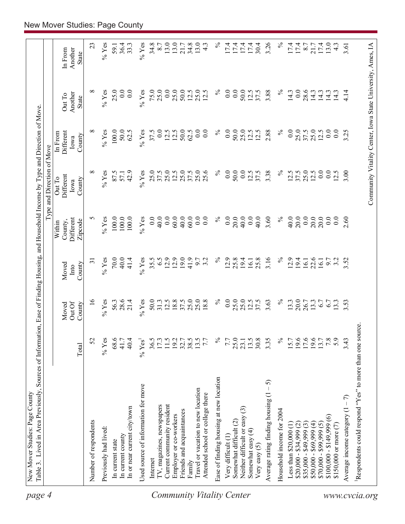| page 4                    | Table 3. Lived in Area Previously, Sources of Information, Ease of Finding Housing, and Household Income by Type and Direction of Move<br>New Mover Studies: Page County |                    |                           |                         |                                           |                                                            |                                        |                                   |                             |
|---------------------------|--------------------------------------------------------------------------------------------------------------------------------------------------------------------------|--------------------|---------------------------|-------------------------|-------------------------------------------|------------------------------------------------------------|----------------------------------------|-----------------------------------|-----------------------------|
|                           |                                                                                                                                                                          |                    |                           |                         |                                           | Type and Direction of Move                                 |                                        |                                   |                             |
|                           |                                                                                                                                                                          | Total              | Out Of<br>County<br>Moved | County<br>Moved<br>Into | Different<br>Zipcode<br>County,<br>Within | Different<br>Out To<br>County<br>Iowa                      | Different<br>In From<br>County<br>Iowa | Another<br>Out To<br><b>State</b> | Another<br>In From<br>State |
|                           | Number of respondents                                                                                                                                                    | 52                 | $\overline{16}$           | $\overline{31}$         | 5                                         | ${}^{\circ}$                                               | $\infty$                               | ${}^{\circ}$                      | 23                          |
|                           | Previously had lived:                                                                                                                                                    | $%$ Yes            | $%$ Yes                   | $%$ Yes                 | $\%$ Yes                                  | $%$ Yes                                                    | $\%$ Yes                               | $%$ Yes                           | $%$ Yes                     |
|                           | In current state                                                                                                                                                         | 68.6               | 56.3                      | 70.0                    | 100.0                                     | 87.5                                                       | 100.0                                  | 25.0                              | 59.1                        |
|                           | In current county                                                                                                                                                        | 41.7               | 28.6                      | 40.0                    | 100.0                                     | 57.1                                                       | 50.0                                   | 0.0                               | 36.4                        |
|                           | In or near current city/town                                                                                                                                             | 40.4               | 21.4                      | 41.4                    | 100.0                                     | 42.9                                                       | 62.5                                   | 0.0                               | 33.3                        |
|                           | Used source of information for move                                                                                                                                      | % Yes <sup>1</sup> | $%$ Yes                   | $%$ Yes                 | $%$ Yes                                   | $%$ Yes                                                    | $%$ Yes                                | $%$ Yes                           | $\%$ Yes                    |
|                           | Internet                                                                                                                                                                 | 36.5               | 50.0                      | 35.5                    | 0.0                                       | 25.0                                                       | 37.5                                   | 75.0                              | 34.8                        |
|                           | IV, magazines, newspapers                                                                                                                                                | 17.3               | 31.3                      | 6.5                     | 40.0                                      | 37.5                                                       | 0.0                                    | 25.0                              | 8.7                         |
|                           | Current community resident                                                                                                                                               | 11.5               | 12.5                      | 12.9                    | 0.0                                       | 25.0                                                       | 12.5                                   | 0.0                               | 13.0                        |
|                           | Employer or co-workers                                                                                                                                                   | 19.2               | $18.8$<br>37.5            | 12.9                    | 60.0                                      | 12.5                                                       | 12.5                                   | 25.0                              | 13.0                        |
|                           | Friends and acquaintances                                                                                                                                                | 32.7               |                           | 19.0                    | 40.0                                      | 25.0                                                       | 50.0                                   | 50.0                              | 21.7                        |
|                           | Family                                                                                                                                                                   | 38.5<br>13.5       | 25.0<br>25.0              | 41.9<br>9.7             | 60.0<br>0.0                               | 25.0<br>37.5                                               | 0.0<br>62.5                            | 25.0<br>12.5                      | 34.8<br>13.0                |
| Community Vitality Center | Travel or vacation to new location<br>Attended school or college there                                                                                                   | 7.7                | 18.8                      | 3.2                     | 0.0                                       | 25.6                                                       | 0.0                                    | 12.5                              | $4.\overline{3}$            |
|                           | Ease of finding housing at new location                                                                                                                                  | $\%$               | $\%$                      | $\%$                    | $\%$                                      | $\%$                                                       | $\%$                                   | $\%$                              | $\%$                        |
|                           | Very difficult (1)                                                                                                                                                       | 7.7                | 0.0                       | 12.9                    | $\overline{0}$ .                          | 0.0                                                        | 0.0                                    | $\overline{0}$ .                  | 17.4                        |
|                           | Somewhat difficult (2)                                                                                                                                                   | 25.0               | 25.0                      | 25.8                    | 20.0                                      | 50.0                                                       | 50.0                                   | 0.0                               | 17.4                        |
|                           | ල<br>Neither difficult or easy                                                                                                                                           | 23.1               | 25.0                      | 19.4                    | 40.0                                      | 0.0                                                        | 25.0                                   | 50.0                              | 17.4                        |
|                           | Somewhat easy $(4)$                                                                                                                                                      | 13.5               | 12.5                      | 16.1                    | 0.0                                       | 12.5                                                       | 12.5                                   | 12.5                              | 17.4                        |
|                           | Very easy $(5)$                                                                                                                                                          | 30.8               | 37.5                      | 25.8                    | 40.0                                      | 37.5                                                       | 12.5                                   | 37.5                              | 30.4                        |
|                           | ନ<br>Average rating finding housing (1                                                                                                                                   | 3.35               | 3.63                      | 3.16                    | 3.60                                      | 3.38                                                       | 2.88                                   | 3.88                              | 3.26                        |
|                           | Household income for 2004                                                                                                                                                | $\%$               | $\%$                      | $\%$                    | $\%$                                      | $\%$                                                       | $\%$                                   | $\%$                              | $\%$                        |
|                           | Less than $$20,000(1)$                                                                                                                                                   | 15.7               | 13.3                      | 12.9                    | 40.0                                      | 12.5                                                       | 0.0                                    | 14.3                              | 17.4                        |
|                           | $$20,000 - $34,999 (2)$                                                                                                                                                  | 19.6               | 20.0                      | 19.4                    | 20.0                                      | 37.5                                                       | 25.0                                   | 0.0                               | 17.4                        |
|                           | $$35,000 - $49,999 (3)$<br>$$50,000 - $69,999 (4)$                                                                                                                       | 17.6               | 26.7                      | 16.1                    | 0.0                                       | 25.0                                                       | 37.5                                   | 28.6                              | 8.7                         |
|                           |                                                                                                                                                                          | 19.6               | 13.3                      | 22.6                    | 20.0                                      | 12.5                                                       | 25.0                                   | 14.3                              | 21.7                        |
|                           | $$70,000 - $99,999(5)$                                                                                                                                                   | 13.7               | 6.7                       | 16.1                    | 20.0                                      | 0.0                                                        | 12.5                                   | 14.3                              | 17.4                        |
|                           | $$100,000 - $149,999(6)$                                                                                                                                                 | 7.8                | 67                        | 6.7                     | 0.0                                       | 0.0                                                        | $\overline{0.0}$                       | $\frac{4}{3}$                     | 13.0                        |
|                           | \$150,000 or more (7)                                                                                                                                                    | 5.9                | 13.3                      | 3.2                     | 0.0                                       | 12.5                                                       | 0.0                                    | 14.3                              | 4.3                         |
|                           | Average income category $(1 - 7)$                                                                                                                                        | 3.43               | 3.53                      | 3.52                    | 2.60                                      | 3.00                                                       | 3.25                                   | 4.14                              | 3.61                        |
|                           | Respondents could respond "Yes" to more than one source.                                                                                                                 |                    |                           |                         |                                           |                                                            |                                        |                                   |                             |
| www.cvcia.org             |                                                                                                                                                                          |                    |                           |                         |                                           | Community Vitality Center, Iowa State University, Ames, IA |                                        |                                   |                             |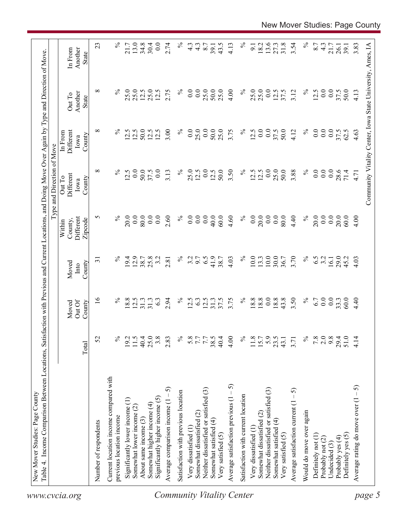| $\%$<br>$\infty$<br>$\%$<br>0.0<br>$\%$<br>0.0<br>50.0<br>3.50<br>$\%$<br>0.0<br>25.0<br>0.0<br>$\overline{0.0}$<br>$0.0\,$<br>12.5<br>50.0<br>37.5<br>0.0<br>3.13<br>25.0<br>12.5<br>12.5<br>12.5<br>12.5<br>50.0<br>3.88<br>28.6<br>71.4<br>Different<br>Out To<br>County<br>Iowa<br>$\%$<br>0.0<br>20.0<br>0.0<br>80.0<br>$\overline{0.0}$<br>2.60<br>0.0<br>0.0<br>4.60<br>$\%$<br>0.0<br>0.0<br>$\%$<br>20.0<br>0.0<br>S<br>$\%$<br>0.0<br>0.0<br>40.0<br>60.0<br>20.0<br>80.0<br>4.40<br>0.0<br>20.0<br>Different<br>60.0<br>County,<br>Zipcode<br>Within<br>10.0<br>$\%$<br>6.5<br>$\%$<br>$\%$<br>$\%$<br>12.9<br>41.9<br>4.03<br>$10.0\,$<br>30.0<br>3.70<br>6.5<br>19.4<br>25.8<br>3.2<br>3.2<br>9.7<br>13.3<br>36.7<br>3.2<br>29.0<br>2.81<br>38.7<br>45.2<br>$\overline{31}$<br>38.7<br>16.1<br>County<br>Moved<br>Into<br>$\frac{6}{1}$<br>12.5<br>$\%$<br>18.8<br>18.8<br>0.0<br>18.8<br>43.8<br>3.50<br>$\%$<br>0.0<br>0.0<br>$\%$<br>18.8<br>31.3<br>31.3<br>$\%$<br>12.5<br>6.3<br>31.3<br>37.5<br>3.75<br>6.7<br>33.3<br>60.0<br>6.3<br>2.94<br>Out Of<br>County<br>Moved<br>25.0<br>$\%$<br>$\%$<br>2.0<br>9.8<br>51.0<br>52<br>℅<br>19.2<br>11.5<br>40.4<br>3.8<br>2.83<br>$\%$<br>5.8<br>7.7<br>38.5<br>40.4<br>4.00<br>11.8<br>5.9<br>23.5<br>7.8<br>29.4<br>15.7<br>3.71<br>43.1<br>Total<br>Current location income compared with<br>Average satisfaction previous $(1 - 5)$<br>ନ<br>Neither dissatisfied or satisfied (3)<br>Neither dissatisfied or satisfied (3)<br>Average satisfaction current $(1 - 5)$<br>Satisfaction with previous location<br>Average comparison income (1 -<br>Satisfaction with current location<br>Significantly higher income (5)<br>Significantly lower income (1)<br>Somewhat higher income (4)<br>Somewhat lower income (2)<br>Would do move over again<br>Somewhat dissatisfied (2)<br>Somewhat dissatisfied (2)<br>previous location income<br>About same income (3)<br>Somewhat satisfied (4)<br>Somewhat satisfied (4)<br>Number of respondents<br>Very dissatisfied (1)<br>Very dissatisfied (1<br>Very satisfied (5)<br>Very satisfied (5)<br>Definitely yes (5)<br>Definitely not (1)<br>Probably yes (4)<br>Probably not (2)<br>Undecided (3)<br>Community Vitality Center<br>www.cvcia.org |                                       |      |      |      |      | Type and Direction of Move |                              |                   |                    |
|--------------------------------------------------------------------------------------------------------------------------------------------------------------------------------------------------------------------------------------------------------------------------------------------------------------------------------------------------------------------------------------------------------------------------------------------------------------------------------------------------------------------------------------------------------------------------------------------------------------------------------------------------------------------------------------------------------------------------------------------------------------------------------------------------------------------------------------------------------------------------------------------------------------------------------------------------------------------------------------------------------------------------------------------------------------------------------------------------------------------------------------------------------------------------------------------------------------------------------------------------------------------------------------------------------------------------------------------------------------------------------------------------------------------------------------------------------------------------------------------------------------------------------------------------------------------------------------------------------------------------------------------------------------------------------------------------------------------------------------------------------------------------------------------------------------------------------------------------------------------------------------------------------------------------------------------------------------------------------------------------------------------------------------------------------------------------------------------------------------------------------------------------------------------------------------------------------------------------------------------------------------|---------------------------------------|------|------|------|------|----------------------------|------------------------------|-------------------|--------------------|
|                                                                                                                                                                                                                                                                                                                                                                                                                                                                                                                                                                                                                                                                                                                                                                                                                                                                                                                                                                                                                                                                                                                                                                                                                                                                                                                                                                                                                                                                                                                                                                                                                                                                                                                                                                                                                                                                                                                                                                                                                                                                                                                                                                                                                                                              |                                       |      |      |      |      |                            | Different<br>In From<br>Iowa | Another<br>Out To | Another<br>In From |
|                                                                                                                                                                                                                                                                                                                                                                                                                                                                                                                                                                                                                                                                                                                                                                                                                                                                                                                                                                                                                                                                                                                                                                                                                                                                                                                                                                                                                                                                                                                                                                                                                                                                                                                                                                                                                                                                                                                                                                                                                                                                                                                                                                                                                                                              |                                       |      |      |      |      |                            | $\infty$<br>County           | $\infty$<br>State | 23<br><b>State</b> |
|                                                                                                                                                                                                                                                                                                                                                                                                                                                                                                                                                                                                                                                                                                                                                                                                                                                                                                                                                                                                                                                                                                                                                                                                                                                                                                                                                                                                                                                                                                                                                                                                                                                                                                                                                                                                                                                                                                                                                                                                                                                                                                                                                                                                                                                              |                                       |      |      |      |      |                            |                              |                   |                    |
|                                                                                                                                                                                                                                                                                                                                                                                                                                                                                                                                                                                                                                                                                                                                                                                                                                                                                                                                                                                                                                                                                                                                                                                                                                                                                                                                                                                                                                                                                                                                                                                                                                                                                                                                                                                                                                                                                                                                                                                                                                                                                                                                                                                                                                                              |                                       |      |      |      |      |                            | $\%$                         | $\%$              | $\%$               |
|                                                                                                                                                                                                                                                                                                                                                                                                                                                                                                                                                                                                                                                                                                                                                                                                                                                                                                                                                                                                                                                                                                                                                                                                                                                                                                                                                                                                                                                                                                                                                                                                                                                                                                                                                                                                                                                                                                                                                                                                                                                                                                                                                                                                                                                              |                                       |      |      |      |      |                            |                              |                   |                    |
|                                                                                                                                                                                                                                                                                                                                                                                                                                                                                                                                                                                                                                                                                                                                                                                                                                                                                                                                                                                                                                                                                                                                                                                                                                                                                                                                                                                                                                                                                                                                                                                                                                                                                                                                                                                                                                                                                                                                                                                                                                                                                                                                                                                                                                                              |                                       |      |      |      |      |                            | 12.5                         | 25.0              | 21.7               |
|                                                                                                                                                                                                                                                                                                                                                                                                                                                                                                                                                                                                                                                                                                                                                                                                                                                                                                                                                                                                                                                                                                                                                                                                                                                                                                                                                                                                                                                                                                                                                                                                                                                                                                                                                                                                                                                                                                                                                                                                                                                                                                                                                                                                                                                              |                                       |      |      |      |      |                            | 12.5                         | 25.0              | 13.0               |
|                                                                                                                                                                                                                                                                                                                                                                                                                                                                                                                                                                                                                                                                                                                                                                                                                                                                                                                                                                                                                                                                                                                                                                                                                                                                                                                                                                                                                                                                                                                                                                                                                                                                                                                                                                                                                                                                                                                                                                                                                                                                                                                                                                                                                                                              |                                       |      |      |      |      |                            | 50.0<br>12.5                 | 25.0<br>12.5      | 34.8<br>30.4       |
|                                                                                                                                                                                                                                                                                                                                                                                                                                                                                                                                                                                                                                                                                                                                                                                                                                                                                                                                                                                                                                                                                                                                                                                                                                                                                                                                                                                                                                                                                                                                                                                                                                                                                                                                                                                                                                                                                                                                                                                                                                                                                                                                                                                                                                                              |                                       |      |      |      |      |                            | 12.5                         | 12.5              | 0.0                |
|                                                                                                                                                                                                                                                                                                                                                                                                                                                                                                                                                                                                                                                                                                                                                                                                                                                                                                                                                                                                                                                                                                                                                                                                                                                                                                                                                                                                                                                                                                                                                                                                                                                                                                                                                                                                                                                                                                                                                                                                                                                                                                                                                                                                                                                              |                                       |      |      |      |      |                            | 3.00                         | 2.75              | 2.74               |
|                                                                                                                                                                                                                                                                                                                                                                                                                                                                                                                                                                                                                                                                                                                                                                                                                                                                                                                                                                                                                                                                                                                                                                                                                                                                                                                                                                                                                                                                                                                                                                                                                                                                                                                                                                                                                                                                                                                                                                                                                                                                                                                                                                                                                                                              |                                       |      |      |      |      |                            |                              |                   |                    |
|                                                                                                                                                                                                                                                                                                                                                                                                                                                                                                                                                                                                                                                                                                                                                                                                                                                                                                                                                                                                                                                                                                                                                                                                                                                                                                                                                                                                                                                                                                                                                                                                                                                                                                                                                                                                                                                                                                                                                                                                                                                                                                                                                                                                                                                              |                                       |      |      |      |      |                            | $\%$                         | $\%$              | $\%$               |
|                                                                                                                                                                                                                                                                                                                                                                                                                                                                                                                                                                                                                                                                                                                                                                                                                                                                                                                                                                                                                                                                                                                                                                                                                                                                                                                                                                                                                                                                                                                                                                                                                                                                                                                                                                                                                                                                                                                                                                                                                                                                                                                                                                                                                                                              |                                       |      |      |      |      |                            | 0.0                          | $\overline{0.0}$  | 4.3                |
|                                                                                                                                                                                                                                                                                                                                                                                                                                                                                                                                                                                                                                                                                                                                                                                                                                                                                                                                                                                                                                                                                                                                                                                                                                                                                                                                                                                                                                                                                                                                                                                                                                                                                                                                                                                                                                                                                                                                                                                                                                                                                                                                                                                                                                                              |                                       |      |      |      |      |                            | 25.0                         | 0.0               | $4.\overline{3}$   |
|                                                                                                                                                                                                                                                                                                                                                                                                                                                                                                                                                                                                                                                                                                                                                                                                                                                                                                                                                                                                                                                                                                                                                                                                                                                                                                                                                                                                                                                                                                                                                                                                                                                                                                                                                                                                                                                                                                                                                                                                                                                                                                                                                                                                                                                              |                                       |      |      |      |      |                            | 0.0                          | 25.0              | 8.7                |
|                                                                                                                                                                                                                                                                                                                                                                                                                                                                                                                                                                                                                                                                                                                                                                                                                                                                                                                                                                                                                                                                                                                                                                                                                                                                                                                                                                                                                                                                                                                                                                                                                                                                                                                                                                                                                                                                                                                                                                                                                                                                                                                                                                                                                                                              |                                       |      |      |      |      |                            | 50.0                         | 50.0              | 39.1               |
|                                                                                                                                                                                                                                                                                                                                                                                                                                                                                                                                                                                                                                                                                                                                                                                                                                                                                                                                                                                                                                                                                                                                                                                                                                                                                                                                                                                                                                                                                                                                                                                                                                                                                                                                                                                                                                                                                                                                                                                                                                                                                                                                                                                                                                                              |                                       |      |      |      |      |                            | 25.0                         | 25.0              | 43.5               |
|                                                                                                                                                                                                                                                                                                                                                                                                                                                                                                                                                                                                                                                                                                                                                                                                                                                                                                                                                                                                                                                                                                                                                                                                                                                                                                                                                                                                                                                                                                                                                                                                                                                                                                                                                                                                                                                                                                                                                                                                                                                                                                                                                                                                                                                              |                                       |      |      |      |      |                            | 3.75                         | 4.00              | 4.13               |
|                                                                                                                                                                                                                                                                                                                                                                                                                                                                                                                                                                                                                                                                                                                                                                                                                                                                                                                                                                                                                                                                                                                                                                                                                                                                                                                                                                                                                                                                                                                                                                                                                                                                                                                                                                                                                                                                                                                                                                                                                                                                                                                                                                                                                                                              |                                       |      |      |      |      |                            | $\%$                         | $\%$              | $\%$               |
|                                                                                                                                                                                                                                                                                                                                                                                                                                                                                                                                                                                                                                                                                                                                                                                                                                                                                                                                                                                                                                                                                                                                                                                                                                                                                                                                                                                                                                                                                                                                                                                                                                                                                                                                                                                                                                                                                                                                                                                                                                                                                                                                                                                                                                                              |                                       |      |      |      |      |                            | 12.5                         | 25.0              | 9.1                |
|                                                                                                                                                                                                                                                                                                                                                                                                                                                                                                                                                                                                                                                                                                                                                                                                                                                                                                                                                                                                                                                                                                                                                                                                                                                                                                                                                                                                                                                                                                                                                                                                                                                                                                                                                                                                                                                                                                                                                                                                                                                                                                                                                                                                                                                              |                                       |      |      |      |      |                            | 0.0                          | 25.0              | 18.2               |
|                                                                                                                                                                                                                                                                                                                                                                                                                                                                                                                                                                                                                                                                                                                                                                                                                                                                                                                                                                                                                                                                                                                                                                                                                                                                                                                                                                                                                                                                                                                                                                                                                                                                                                                                                                                                                                                                                                                                                                                                                                                                                                                                                                                                                                                              |                                       |      |      |      |      |                            | 0.0                          | 0.0               | 13.6               |
|                                                                                                                                                                                                                                                                                                                                                                                                                                                                                                                                                                                                                                                                                                                                                                                                                                                                                                                                                                                                                                                                                                                                                                                                                                                                                                                                                                                                                                                                                                                                                                                                                                                                                                                                                                                                                                                                                                                                                                                                                                                                                                                                                                                                                                                              |                                       |      |      |      |      |                            | 37.5                         | 12.5              | 27.3               |
|                                                                                                                                                                                                                                                                                                                                                                                                                                                                                                                                                                                                                                                                                                                                                                                                                                                                                                                                                                                                                                                                                                                                                                                                                                                                                                                                                                                                                                                                                                                                                                                                                                                                                                                                                                                                                                                                                                                                                                                                                                                                                                                                                                                                                                                              |                                       |      |      |      |      |                            | 50.0                         | 37.5              | 31.8               |
|                                                                                                                                                                                                                                                                                                                                                                                                                                                                                                                                                                                                                                                                                                                                                                                                                                                                                                                                                                                                                                                                                                                                                                                                                                                                                                                                                                                                                                                                                                                                                                                                                                                                                                                                                                                                                                                                                                                                                                                                                                                                                                                                                                                                                                                              |                                       |      |      |      |      |                            | 4.12                         | 3.12              | 3.54               |
|                                                                                                                                                                                                                                                                                                                                                                                                                                                                                                                                                                                                                                                                                                                                                                                                                                                                                                                                                                                                                                                                                                                                                                                                                                                                                                                                                                                                                                                                                                                                                                                                                                                                                                                                                                                                                                                                                                                                                                                                                                                                                                                                                                                                                                                              |                                       |      |      |      |      |                            | $\%$                         | $\%$              | $\%$               |
|                                                                                                                                                                                                                                                                                                                                                                                                                                                                                                                                                                                                                                                                                                                                                                                                                                                                                                                                                                                                                                                                                                                                                                                                                                                                                                                                                                                                                                                                                                                                                                                                                                                                                                                                                                                                                                                                                                                                                                                                                                                                                                                                                                                                                                                              |                                       |      |      |      |      |                            | 0.0                          | 12.5              | 8.7                |
|                                                                                                                                                                                                                                                                                                                                                                                                                                                                                                                                                                                                                                                                                                                                                                                                                                                                                                                                                                                                                                                                                                                                                                                                                                                                                                                                                                                                                                                                                                                                                                                                                                                                                                                                                                                                                                                                                                                                                                                                                                                                                                                                                                                                                                                              |                                       |      |      |      |      |                            | 0.0                          | 0.0               | 4.3                |
|                                                                                                                                                                                                                                                                                                                                                                                                                                                                                                                                                                                                                                                                                                                                                                                                                                                                                                                                                                                                                                                                                                                                                                                                                                                                                                                                                                                                                                                                                                                                                                                                                                                                                                                                                                                                                                                                                                                                                                                                                                                                                                                                                                                                                                                              |                                       |      |      |      |      |                            | 0.0                          | 0.0               | 21.7               |
|                                                                                                                                                                                                                                                                                                                                                                                                                                                                                                                                                                                                                                                                                                                                                                                                                                                                                                                                                                                                                                                                                                                                                                                                                                                                                                                                                                                                                                                                                                                                                                                                                                                                                                                                                                                                                                                                                                                                                                                                                                                                                                                                                                                                                                                              |                                       |      |      |      |      |                            | 37.5<br>62.5                 | 37.5              | 26.1               |
|                                                                                                                                                                                                                                                                                                                                                                                                                                                                                                                                                                                                                                                                                                                                                                                                                                                                                                                                                                                                                                                                                                                                                                                                                                                                                                                                                                                                                                                                                                                                                                                                                                                                                                                                                                                                                                                                                                                                                                                                                                                                                                                                                                                                                                                              |                                       |      |      |      |      |                            |                              | 50.0              | 39.1               |
|                                                                                                                                                                                                                                                                                                                                                                                                                                                                                                                                                                                                                                                                                                                                                                                                                                                                                                                                                                                                                                                                                                                                                                                                                                                                                                                                                                                                                                                                                                                                                                                                                                                                                                                                                                                                                                                                                                                                                                                                                                                                                                                                                                                                                                                              | Average rating do move over $(1 - 5)$ | 4.14 | 4.40 | 4.03 | 4.00 | 4.71                       | 4.63                         | 4.13              | 3.83               |
| Community Vitality Center, Iowa State University, Ames, IA<br>page 5                                                                                                                                                                                                                                                                                                                                                                                                                                                                                                                                                                                                                                                                                                                                                                                                                                                                                                                                                                                                                                                                                                                                                                                                                                                                                                                                                                                                                                                                                                                                                                                                                                                                                                                                                                                                                                                                                                                                                                                                                                                                                                                                                                                         |                                       |      |      |      |      |                            |                              |                   |                    |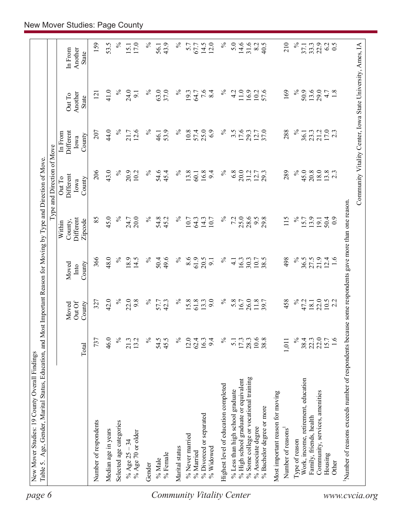|                                                       |                  |                 |               |                                                 | Type and Direction of Move  |                              |                                                            |                    |
|-------------------------------------------------------|------------------|-----------------|---------------|-------------------------------------------------|-----------------------------|------------------------------|------------------------------------------------------------|--------------------|
|                                                       |                  | Out Of<br>Moved | Moved<br>Into | Different<br>County,<br>Within                  | Different<br>Out To<br>Iowa | Different<br>In From<br>Iowa | Another<br>Out To                                          | Another<br>In From |
|                                                       | Total            | County          | County        | Zipcode                                         | County                      | County                       | State                                                      | <b>State</b>       |
| Number of respondents                                 | 737              | 327             | 366           | 85                                              | 206                         | 207                          | 121                                                        | 159                |
| Median age in years                                   | 46.0             | 42.0            | 48.0          | 45.0                                            | 43.0                        | 44.0                         | 41.0                                                       | 53.5               |
| Selected age categories                               | $\frac{5}{6}$    | $\%$            | $\%$          | $\%$                                            | $\%$                        | $\%$                         | $\%$                                                       | $\%$               |
| % Age 70 or older<br>% Age $25 - 34$                  | 21.3<br>13.2     | 22.0<br>9.8     | 18.9<br>14.5  | 20.0<br>24.7                                    | 20.9<br>10.2                | 12.6<br>21.7                 | 24.0<br>9.1                                                | 17.0<br>15.1       |
| Gender                                                | $\%$             | $\%$            | $\%$          | $\%$                                            | $\%$                        | $\%$                         | $\%$                                                       | $\%$               |
| $\%$ Male                                             | 54.5             |                 | 50.4          |                                                 | 54.6                        | 46.1                         | 63.0                                                       | 56.1               |
| % Female                                              | 45.5             | 57.7<br>42.3    | 49.6          | 54.8<br>45.2                                    | 45.4                        | 53.9                         | 37.0                                                       | 43.9               |
| Marital status                                        | $\%$             | $\%$            | $\%$          | $\%$                                            | $\%$                        | $\%$                         | $\%$                                                       | $\%$               |
| % Never married                                       | 12.0             | 15.8            | 8.6           | 10.7                                            | 13.8                        | 10.8                         | 19.3                                                       | 5.7                |
| % Married                                             | 62.4             | 61.8            | 61.9<br>20.5  | 64.3                                            | 16.8<br>60.1                | 25.0<br>57.4                 | 64.7                                                       | 67.7               |
| % Divorced or separated<br>% Widowed                  | 16.3<br>9.4      | 9.0<br>13.3     | 9.1           | 14.3<br>10.7                                    | 9.4                         | 6.9                          | 7.6<br>8.4                                                 | 14.5<br>12.0       |
| Highest level of education completed                  | $\%$             | $\%$            | $\%$          | $\%$                                            | $\%$                        | $\%$                         | $\%$                                                       | $\%$               |
| % Less than high school graduate                      | $\overline{5.1}$ | 5.8             | $\frac{1}{4}$ | 7.2                                             | 6.8                         | $3.\overline{5}$             | 4.2                                                        | 5.0                |
| % High school graduate or equivalent                  | 17.3             | 16.7            | 16.3          | 25.0                                            | 20.0                        | 17.6                         | $11.0$ $\,$                                                | $14.6$<br>31.6     |
| % Some college or vocational training                 | 28.3             | 26.0            | 30.3          | 28.6                                            | 31.2                        | 29.3                         | 16.9                                                       |                    |
| % Bachelor degree or more<br>% Associate degree       | 10.6<br>38.8     | 11.8            | 10.7<br>38.5  | 29.8<br>6.6                                     | 12.7<br>29.3                | 12.7<br>37.0                 | 57.6<br>10.2                                               | 8.2<br>40.5        |
| Most important reason for moving                      |                  |                 |               |                                                 |                             |                              |                                                            |                    |
| Number of reasons                                     | 1,011            | 458             | 498           | 115                                             | 289                         | 288                          | 169                                                        | 210                |
| Type of reason                                        | $\%$             | $\%$            | $\%$          | $\%$                                            | $\%$                        | $\%$                         | $\%$                                                       | $\%$               |
| Work, income, retirement, education                   | 38.4             | 47.2            | 36.5          | 15.7                                            | 45.0                        | 36.1                         | 50.9                                                       | 37.1               |
| Family, friends, health                               | 22.3             | 18.1            | 27.5          | 13.9                                            | 20.8                        | 23.3                         | 13.6                                                       | 33.3               |
| Community, services, amenities                        | 22.0             | 22.0            | 21.9          | 19.1                                            | 18.0                        | 21.2                         | 29.0                                                       | 22.9               |
| Housing<br>Other                                      | 1.6<br>15.7      | $10.5$<br>2.2   | 12.4<br>1.6   | 50.4<br>$_{0.0}$                                | $13.8$<br>2.3               | 17.0<br>2.3                  | 4.7<br>1.8                                                 | 0.5<br>62          |
|                                                       |                  |                 |               |                                                 |                             |                              |                                                            |                    |
| Number of reasons exceeds number of respondents becan |                  |                 |               | use some respondents gave more than one reason. |                             |                              | Community Vitality Center, Iowa State University, Ames, IA |                    |
|                                                       |                  |                 |               |                                                 |                             |                              |                                                            |                    |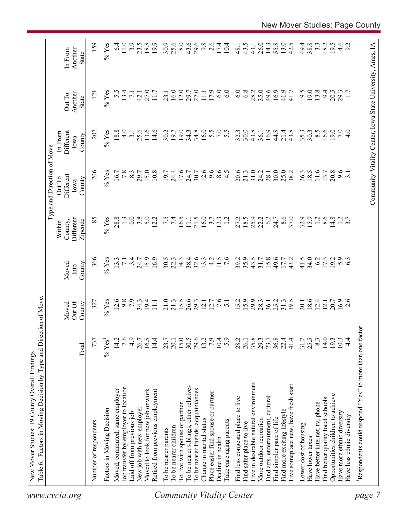|                                  | Factors in Moving Decision by Type and Direction of Move |                      |                   |                         |                                | Type and Direction of Move            |                              |                                                            |                             |  |
|----------------------------------|----------------------------------------------------------|----------------------|-------------------|-------------------------|--------------------------------|---------------------------------------|------------------------------|------------------------------------------------------------|-----------------------------|--|
| www.cvcia.org                    |                                                          | Total                | Out Of<br>Moved   | County<br>Moved<br>Into | Different<br>County,<br>Within | Different<br>Out To<br>County<br>Iowa | Different<br>In From<br>Iowa | Another<br>Out To<br>State                                 | Another<br>In From<br>State |  |
|                                  |                                                          |                      | County            |                         | Zipcode                        |                                       | County                       |                                                            |                             |  |
|                                  | Number of respondents                                    | 737                  | 327               | 366                     | 85                             | 206                                   | 207                          | $\overline{2}$                                             | 159                         |  |
|                                  | Factors in Moving Decision                               | $%$ Yes <sup>1</sup> | $%$ Yes           | $%$ Yes                 | $%$ Yes                        | $%$ Yes                               | $%$ Yes                      | $%$ Yes                                                    | $%$ Yes                     |  |
|                                  | Moved, commuted, same employer                           | 14.2                 | 12.6              | 13.3                    | 28.8                           | 16.7                                  | 18.8                         | 5.5                                                        | 6.4                         |  |
|                                  | Job transfer by employer to location                     | 7.6                  | 9.8               | $\overline{z}$          |                                | 7.8                                   | 4.0                          | 13.4                                                       | 11.0                        |  |
|                                  | Laid off from previous job                               | 4.9                  | $\overline{7}$ .9 | 3.4                     | 0.0                            | 8.3                                   | 3.1                          | $\overline{7.1}$                                           | 3.9                         |  |
|                                  | New job with new employer                                | 26.7                 |                   | 24.7                    | 3.8                            | 29.7                                  | 25.6                         | 42.1                                                       | 23.5                        |  |
|                                  | Moved to look for new job or work                        | 16.5                 | $34.3$<br>19.4    | 15.9                    | 5.0                            | 15.0                                  | 13.6                         | 27.0                                                       | 18.8                        |  |
|                                  | Retired from previous employment                         | 14.4                 | 11.1              | 16.9                    | 12.2                           | 10.8                                  | 14.6                         | 11.7                                                       | 19.9                        |  |
| <b>Community Vitality Center</b> | To be nearer parents                                     | 23.7                 | 21.0              | 30.5                    |                                | 19.7                                  | 30.2                         | 23.1                                                       | 30.9                        |  |
|                                  | To be nearer children                                    | 20.1                 | 21.3              | 22.3                    | $7.5$<br>7.4                   | 24.4                                  | 19.7                         | 16.0                                                       | 25.6                        |  |
|                                  | To live with spouse or partner                           |                      | 15.5              | 14.3                    | 16.5                           | 17.6                                  | 19.0                         | 12.0                                                       | 8.0                         |  |
|                                  | To be nearer siblings, other relatives                   | 15.0<br>30.5         | 26.6              | 38.4                    | $\Xi$                          | 24.7                                  | 34.3                         | 29.7                                                       | 43.6                        |  |
|                                  | To be nearer friends, acquaintances                      | 29.6                 | 29.3              | 32.6                    | 21.5                           | 30.7                                  | 34.8                         | 27.0                                                       | 29.6                        |  |
|                                  | Change in marital status                                 | 13.2                 | 12.1              | 13.3                    | 16.0                           | 12.6                                  | 16.0                         | 11.1                                                       | 9.8                         |  |
|                                  | Place easier find spouse or partner                      | 7.9                  | 12.7              | $\frac{1}{4}$           | 3.7                            | 9.6                                   |                              | 17.9                                                       | 2.6                         |  |
|                                  | Decline in health                                        | 10.4                 | 7.6               | 11.5                    | 12.3                           |                                       | $5.50$<br>$7.50$             | 6.0                                                        | 17.4                        |  |
|                                  | Take care aging parents                                  | 5.9                  | $\overline{51}$   | $\overline{7.6}$        | $\overline{12}$                | $8.5$<br>4.5                          |                              | 6.0                                                        | 10.4                        |  |
|                                  | Find less congested place to live                        | 28.2                 | 15.2              | 39.2                    | 27.2                           | 20.6                                  | 32.3                         | 6.0                                                        | 48.1                        |  |
|                                  | Find safer place to live                                 | 26.1                 | 15.9              | 35.9                    |                                | 21.3                                  | 30.0                         | 6.8                                                        | 43.5                        |  |
|                                  | Live in desirable natural environment                    | $35.8$<br>$29.3$     | 29.9              | 43.5                    | $18.5$<br>25.9                 | 31.0                                  | 43.8                         | 28.2                                                       | 43.1                        |  |
|                                  | More outdoor recreation                                  |                      | 28.3              | 31.7                    | 22.2                           | 24.2                                  | 36.1                         | 35.0                                                       | 26.0                        |  |
|                                  | Find arts, entertainment, cultural                       | 23.7                 | 36.1              | 15.8                    | 6.2                            | 28.1                                  | 16.9                         | 49.6                                                       | 14.3                        |  |
|                                  | Find simpler pace of life                                | 36.8                 | 25.2              | 49.6                    | 24.7                           | 30.0                                  | 44.8                         | 16.9                                                       | 55.8                        |  |
|                                  | Find more exciting lifestyle                             | 22.4                 | 31.3              | 17.7                    | 8.6                            | 25.0                                  | 21.4                         | 41.9                                                       | 13.0                        |  |
|                                  | Live someplace new, have fresh start                     | 41.4                 | 39.5              | 43.2                    | 37.0                           | 38.2                                  | 43.8                         | 41.7                                                       | 42.5                        |  |
|                                  | Lower cost of housing                                    | 31.7                 | 20.1              | 41.5                    | 32.9                           | 26.3                                  | 35.3                         | 9.5                                                        | 49.4                        |  |
|                                  | Have lower taxes                                         | 25.5                 | 18.6              | 34.0                    | 15.9                           | 18.5                                  | 30.3                         | 19.0                                                       | 38.8                        |  |
|                                  | Have better internet, tv, phone                          | 8.3                  | 12.4              | 6.2                     | 1.2                            | 11.6                                  | $8.\overline{5}$             | 13.8                                                       | $3.\overline{3}$            |  |
|                                  | Find better quality local schools                        | 14.0                 | 12.1              | 17.3                    | 8.6                            | 13.7                                  | 16.6                         | 94                                                         | 18.2                        |  |
|                                  | Opportunities children to achieve                        | 19.3                 | 20.7              | 19.2                    | 14.8                           | 20.8                                  | 19.0                         | 20.5                                                       | 19.5                        |  |
|                                  | Have more ethnic diversity                               | 10.3                 | $16.9$<br>2.6     | 5.3                     | $\frac{1}{3}$ .7               | 9.6                                   | 7.0                          | 29.3                                                       | $4.6$<br>9.2                |  |
|                                  | Have less ethnic diversity                               | $4\cdot$             |                   |                         |                                |                                       | 4.0                          |                                                            |                             |  |
| page                             | Respondents could respond "Yes" to more than one factor  |                      |                   |                         |                                |                                       |                              |                                                            |                             |  |
|                                  |                                                          |                      |                   |                         |                                |                                       |                              |                                                            |                             |  |
|                                  |                                                          |                      |                   |                         |                                |                                       |                              | Community Vitality Center, Iowa State University, Ames, IA |                             |  |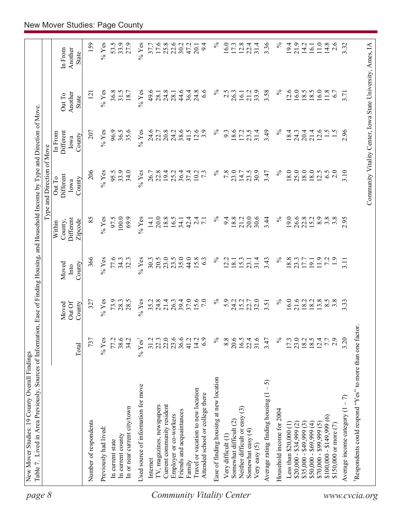| page 8                           | Table 7. Lived in Area Previously, Sources of Information, Ease of Finding Housing, and Household Income by Type and Direction of Move |                  |                           |                         |                                           | Type and Direction of Move                                 |                                        |                                   |                             |
|----------------------------------|----------------------------------------------------------------------------------------------------------------------------------------|------------------|---------------------------|-------------------------|-------------------------------------------|------------------------------------------------------------|----------------------------------------|-----------------------------------|-----------------------------|
|                                  |                                                                                                                                        | Total            | Out Of<br>County<br>Moved | County<br>Moved<br>Into | Different<br>Zipcode<br>County,<br>Within | Different<br>Out To<br>County<br>Iowa                      | Different<br>In From<br>County<br>Iowa | Another<br>Out To<br><b>State</b> | Another<br>In From<br>State |
|                                  | Number of respondents                                                                                                                  | 737              | 327                       | 366                     | 85                                        | 206                                                        | 207                                    | $\overline{2}$                    | 159                         |
|                                  | Previously had lived:                                                                                                                  | $%$ Yes          | $%$ Yes                   | $%$ Yes                 | $\%$ Yes                                  | $%$ Yes                                                    | $\%$ Yes                               | $\%$ Yes                          | $\%$ Yes                    |
|                                  | In current state                                                                                                                       | 77.2             | 73.9                      | 77.6                    | 97.5                                      | 95.5                                                       | 96.9                                   | 36.8                              | 53.5                        |
|                                  | In current county                                                                                                                      | 38.6             | 28.3                      | 34.3                    | 100.0                                     | 33.9                                                       | 36.5                                   | 31.5                              | 33.9                        |
|                                  | In or near current city/town                                                                                                           | 34.2             | 28.5                      | 32.3                    | 69.9                                      | 34.0                                                       | 35.6                                   | 18.7                              | 27.9                        |
|                                  | Used source of information for move                                                                                                    | $% \text{Yes}^1$ | $%$ Yes                   | $%$ Yes                 | $%$ Yes                                   | $%$ Yes                                                    | $%$ Yes                                | $%$ Yes                           | $%$ Yes                     |
|                                  | Internet                                                                                                                               | 31.2             | 35.2                      | 30.3                    | 14.1                                      | 26.7                                                       | 24.6                                   | 49.6                              | 37.7                        |
|                                  | TV, magazines, newspapers                                                                                                              | 22.3             | 24.8                      | 20.5                    | 20.0                                      | 22.8                                                       | 22.7                                   | 28.1                              | 17.6                        |
|                                  | Current community resident                                                                                                             | 22.0             | 21.4                      | 23.0                    | 18.8                                      | 19.4                                                       | 20.8                                   | 24.8                              | 25.8                        |
|                                  | Employer or co-workers                                                                                                                 | 23.6             | 26.3                      | 23.5                    | 16.5                                      | 25.2                                                       | 24.2                                   | 28.1                              | 22.6                        |
|                                  | Friends and acquaintances                                                                                                              |                  | 39.4                      | 35.0                    | 34.1                                      | 36.4                                                       | 38.6                                   | 44.6                              | 30.2                        |
|                                  | Family                                                                                                                                 | 41.2             | 37.0                      | 44.0                    | 42.4                                      | 37.4                                                       | 41.5                                   | 36.4                              | 47.2                        |
|                                  | Travel or vacation to new location                                                                                                     | 14.2             | 15.6                      | 15.8                    | $\overline{c}$                            | 10.2                                                       | 12.6                                   | 24.8                              | 20.1                        |
|                                  | Attended school or college there                                                                                                       | 6.9              | 7.0                       | 63                      | $\overline{7.1}$                          | $7\cdot$                                                   | 3.9                                    | $\frac{8}{3}$                     | 9.4                         |
| <b>Community Vitality Center</b> | Ease of finding housing at new location                                                                                                | $\%$             | $\%$                      | $\%$                    | $\%$                                      | $\%$                                                       | $\%$                                   | ℅                                 | $\%$                        |
|                                  | Very difficult (1)                                                                                                                     | 8.8              | 5.9                       | 2.2                     | 9.4                                       | 7.8                                                        | 9.3                                    | 2.5                               | 16.0                        |
|                                  | Somewhat difficult (2)                                                                                                                 | 20.6             | 24.2                      | 18.1                    | 18.8                                      | 23.0                                                       | 18.6                                   | 26.3                              | 17.3                        |
|                                  | Neither difficult or easy (3)                                                                                                          | 16.5             | 15.2                      | 15.3                    | 21.2                                      | 14.7                                                       | 17.2                                   | 16.1                              | 12.8                        |
|                                  | Somewhat easy (4)<br>Very easy $(5)$                                                                                                   | 22.4<br>31.6     | 22.7<br>32.0              | 31.4<br>23.1            | 20.0<br>30.6                              | 30.9<br>23.5                                               | 31.4<br>23.5                           | 33.9<br>21.2                      | 31.4<br>22.4                |
|                                  | $-5$<br>Average rating finding housing (1                                                                                              | 3.47             | 3.51                      | 3.43                    | 3.44                                      | 3.47                                                       | 3.49                                   | 3.58                              | 3.36                        |
|                                  | Household income for 2004                                                                                                              | $\%$             | $\%$                      | $\%$                    | $\%$                                      | $\%$                                                       | $\%$                                   | $\%$                              | $\%$                        |
|                                  | Less than $$20,000$ (1)                                                                                                                | 17.3             | 16.0                      | 18.8                    | 19.0                                      | $18.0\,$                                                   | 18.4                                   | 12.6                              | 19.4                        |
|                                  | $$20,000 - $34,999$ (2)                                                                                                                | 23.0             |                           | 23.3                    | 26.6                                      | 25.0                                                       | 24.3                                   | 16.0                              | 21.9                        |
|                                  | $$35,000 - $49,999(3)$                                                                                                                 | $18.2$<br>$18.5$ | 21.6<br>18.2              | 17.7                    | 22.8                                      | 18.0                                                       | 20.4                                   | 18.5                              | 14.2                        |
|                                  | $$50,000 - $69,999 (4)$                                                                                                                |                  | 18.2                      | 19.1                    | 15.2                                      | 18.0                                                       | 21.4                                   | 18.5                              | 16.1                        |
|                                  | $$70,000 - $99,999(5)$                                                                                                                 | 12.4             | 13.8                      | 11.9                    | 8.9                                       | 12.5                                                       | 12.6                                   | 16.0                              | 11.0                        |
|                                  | $$100,000 - $149,999(6)$                                                                                                               | 7.7              | 8.5                       | 72                      | 3.8                                       | 6.5                                                        | $\frac{1.5}{2}$                        | 11.8                              | 14.8                        |
|                                  | \$150,000 or more (7)                                                                                                                  | 2.9              | $3.\overline{8}$          | $\ddot{1}$ .            | $3.\overline{8}$                          | 2.0                                                        |                                        | 6.7                               | 2.6                         |
|                                  | Average income category $(1 - 7)$                                                                                                      | 3.20             | 3.33                      | 3.11                    | 2.95                                      | 3.10                                                       | 2.96                                   | 3.71                              | 3.32                        |
| www.cvcia.org                    | Respondents could respond "Yes" to more than one factor.                                                                               |                  |                           |                         |                                           |                                                            |                                        |                                   |                             |
|                                  |                                                                                                                                        |                  |                           |                         |                                           | Community Vitality Center, Iowa State University, Ames, IA |                                        |                                   |                             |
|                                  |                                                                                                                                        |                  |                           |                         |                                           |                                                            |                                        |                                   |                             |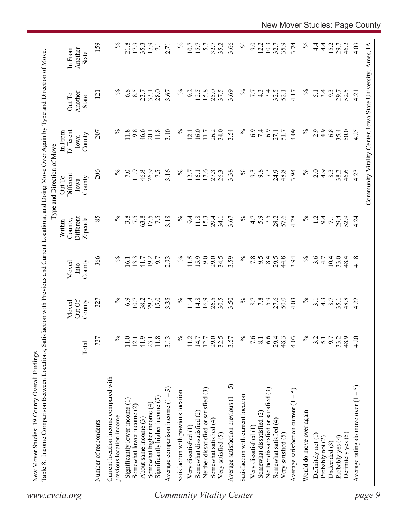| 159<br>3.66<br>$\%$<br>$\%$<br>$\%$<br>21.8<br>17.9<br>$\%$<br>9.0<br>3.74<br>$4\frac{4}{1}$<br>4.09<br>17.9<br>35.2<br>12.2<br>10.3<br>35.9<br>$\frac{4}{1}$<br>15.2<br>Community Vitality Center, Iowa State University, Ames, IA<br>35.3<br>10.7<br>15.7<br>5.7<br>32.7<br>32.7<br>29.7<br>46.2<br>$\overline{7.1}$<br>2.71<br>Another<br>In From<br>State<br>$\%$<br>$\%$<br>$\%$<br>6.8<br>8.5<br>28.0<br>$\%$<br>12.5<br>15.8<br>25.0<br>37.5<br>3.69<br>3.4<br>3.67<br>9.2<br>32.5<br>3.4<br>9.3<br>7.7<br>$4\degree$<br>4.17<br>$\overline{5.1}$<br>29.7<br>52.5<br>23.7<br>33.1<br>52.1<br>4.21<br>Another<br>$\overline{2}$<br>Out To<br>State<br>$\%$<br>$\%$<br>11.8<br>9.8<br>46.6<br>3.10<br>16.0<br>34.0<br>$\%$<br>6.9<br>7.4<br>6.9<br>2.9<br>4.9<br>6.8<br>35.4<br>50.0<br>207<br>11.8<br>$\%$<br>26.2<br>3.54<br>4.09<br>4.25<br>Different<br>11.7<br>51.7<br>27.1<br>20.1<br>12.1<br>In From<br>County<br>Iowa<br>206<br>$\%$<br>$\%$<br>$\%$<br>7.0<br>11.9<br>46.8<br>3.16<br>$\%$<br>3.38<br>9.8<br>73<br>24.9<br>48.8<br>3.94<br>2.0<br>$\ddot{4}$ .<br>26.9<br>7.5<br>17.6<br>27.3<br>26.3<br>9.3<br>8.3<br>38.2<br>46.6<br>4.23<br>12.7<br>16.1<br>Different<br>Out To<br>County<br>Iowa<br>$\%$<br>$\%$<br>5.9<br>57.6<br>$\%$<br>85<br>3.8<br>7.5<br>63.8<br>3.18<br>$\%$<br>3.5<br>4.28<br>Different<br>17.5<br>$\overline{7.5}$<br>9.4<br>11.8<br>15.3<br>3.67<br>4.7<br>28.2<br>1.2<br>9.4<br>29.4<br>29.4<br>52.9<br>4.24<br>34.1<br>$\overline{7}$ .<br>County,<br>Zipcode<br>Within<br>15.9<br>9.0<br>3.59<br>$\%$<br>$\%$<br>3.6<br>366<br>$\%$<br>$\%$<br>29.0<br>34.5<br>7.8<br>8.4<br>44.8<br>3.94<br>$10.4\,$<br>33.0<br>2.93<br>11.5<br>6.6<br>29.5<br>4.18<br>13.3<br>192<br>6.7<br>4.7<br>48.4<br>16.1<br>41.7<br>County<br>Moved<br>Into<br>6.9<br>15.0<br>16.9<br>26.5<br>$\%$<br>7.8<br>27.6<br>50.0<br>$\%$<br>$\%$<br>29.2<br>3.35<br>$\%$<br>14.8<br>30.5<br>3.50<br>8.7<br>48.8<br>10.7<br>38.2<br>11.4<br>$\frac{4.3}{8.7}$<br>4.22<br>327<br>4.03<br>3.1<br>35.1<br>Out Of<br>County<br>Moved<br>$\%$<br>29.0<br>$\%$<br>6.6<br>$\%$<br>4.20<br>737<br>℅<br>41.9<br>32.5<br>7.6<br>4.03<br>9.7<br>48.9<br>11.0<br>$11.8$<br>3.13<br>11.2<br>$14.7$<br>12.7<br>3.57<br>29.4<br>48.3<br>3.2<br>33.2<br>$\overline{5.1}$<br>12.1<br>23.1<br>$\overline{8.1}$<br>Total<br>Current location income compared with<br>Average satisfaction previous $(1 - 5)$<br>Average rating do move over $(1 - 5)$<br>5<br>Neither dissatisfied or satisfied (3)<br>Neither dissatisfied or satisfied (3)<br>Average satisfaction current $(1 - 5)$<br>Satisfaction with previous location<br>Satisfaction with current location<br>Significantly higher income (5)<br>Significantly lower income (1)<br>Average comparison income (1<br>Somewhat higher income (4)<br>Somewhat lower income (2)<br>Would do move over again<br>Somewhat dissatisfied (2)<br>Somewhat dissatisfied (2)<br>previous location income<br>About same income (3)<br>Somewhat satisfied (4)<br>Somewhat satisfied (4)<br>Number of respondents<br>Very dissatisfied (1<br>Very dissatisfied (1<br>Very satisfied (5)<br>Very satisfied (5)<br>Definitely yes (5)<br>Definitely not (1)<br>Probably yes (4)<br>Probably not (2)<br>Undecided (3)<br>www.cvcia.org | Table 8. Income Comparison Between Locations, | Satisfa |  | action with Previous and Current Locations, and Doing Move Over Again by Type and Direction of Move<br>Type and Direction of Move |  |  |
|----------------------------------------------------------------------------------------------------------------------------------------------------------------------------------------------------------------------------------------------------------------------------------------------------------------------------------------------------------------------------------------------------------------------------------------------------------------------------------------------------------------------------------------------------------------------------------------------------------------------------------------------------------------------------------------------------------------------------------------------------------------------------------------------------------------------------------------------------------------------------------------------------------------------------------------------------------------------------------------------------------------------------------------------------------------------------------------------------------------------------------------------------------------------------------------------------------------------------------------------------------------------------------------------------------------------------------------------------------------------------------------------------------------------------------------------------------------------------------------------------------------------------------------------------------------------------------------------------------------------------------------------------------------------------------------------------------------------------------------------------------------------------------------------------------------------------------------------------------------------------------------------------------------------------------------------------------------------------------------------------------------------------------------------------------------------------------------------------------------------------------------------------------------------------------------------------------------------------------------------------------------------------------------------------------------------------------------------------------------------------------------------------------------------------------------------------------------------------------------------------------------------------------------------------------------------------------------------------------------------------------------------------------------------------------------------------------------------------------------------------------------------------------------------------------------------------------------------------------------------------------------------------------------------------------------------------------------------------------------------------------------------------------------------------------------------------------------------------------------------------------------------------------------------------------------------------------------------------------------------------------------------------|-----------------------------------------------|---------|--|-----------------------------------------------------------------------------------------------------------------------------------|--|--|
|                                                                                                                                                                                                                                                                                                                                                                                                                                                                                                                                                                                                                                                                                                                                                                                                                                                                                                                                                                                                                                                                                                                                                                                                                                                                                                                                                                                                                                                                                                                                                                                                                                                                                                                                                                                                                                                                                                                                                                                                                                                                                                                                                                                                                                                                                                                                                                                                                                                                                                                                                                                                                                                                                                                                                                                                                                                                                                                                                                                                                                                                                                                                                                                                                                                                            |                                               |         |  |                                                                                                                                   |  |  |
|                                                                                                                                                                                                                                                                                                                                                                                                                                                                                                                                                                                                                                                                                                                                                                                                                                                                                                                                                                                                                                                                                                                                                                                                                                                                                                                                                                                                                                                                                                                                                                                                                                                                                                                                                                                                                                                                                                                                                                                                                                                                                                                                                                                                                                                                                                                                                                                                                                                                                                                                                                                                                                                                                                                                                                                                                                                                                                                                                                                                                                                                                                                                                                                                                                                                            |                                               |         |  |                                                                                                                                   |  |  |
| page 9<br><b>Community Vitality Center</b>                                                                                                                                                                                                                                                                                                                                                                                                                                                                                                                                                                                                                                                                                                                                                                                                                                                                                                                                                                                                                                                                                                                                                                                                                                                                                                                                                                                                                                                                                                                                                                                                                                                                                                                                                                                                                                                                                                                                                                                                                                                                                                                                                                                                                                                                                                                                                                                                                                                                                                                                                                                                                                                                                                                                                                                                                                                                                                                                                                                                                                                                                                                                                                                                                                 |                                               |         |  |                                                                                                                                   |  |  |
|                                                                                                                                                                                                                                                                                                                                                                                                                                                                                                                                                                                                                                                                                                                                                                                                                                                                                                                                                                                                                                                                                                                                                                                                                                                                                                                                                                                                                                                                                                                                                                                                                                                                                                                                                                                                                                                                                                                                                                                                                                                                                                                                                                                                                                                                                                                                                                                                                                                                                                                                                                                                                                                                                                                                                                                                                                                                                                                                                                                                                                                                                                                                                                                                                                                                            |                                               |         |  |                                                                                                                                   |  |  |
|                                                                                                                                                                                                                                                                                                                                                                                                                                                                                                                                                                                                                                                                                                                                                                                                                                                                                                                                                                                                                                                                                                                                                                                                                                                                                                                                                                                                                                                                                                                                                                                                                                                                                                                                                                                                                                                                                                                                                                                                                                                                                                                                                                                                                                                                                                                                                                                                                                                                                                                                                                                                                                                                                                                                                                                                                                                                                                                                                                                                                                                                                                                                                                                                                                                                            |                                               |         |  |                                                                                                                                   |  |  |
|                                                                                                                                                                                                                                                                                                                                                                                                                                                                                                                                                                                                                                                                                                                                                                                                                                                                                                                                                                                                                                                                                                                                                                                                                                                                                                                                                                                                                                                                                                                                                                                                                                                                                                                                                                                                                                                                                                                                                                                                                                                                                                                                                                                                                                                                                                                                                                                                                                                                                                                                                                                                                                                                                                                                                                                                                                                                                                                                                                                                                                                                                                                                                                                                                                                                            |                                               |         |  |                                                                                                                                   |  |  |
|                                                                                                                                                                                                                                                                                                                                                                                                                                                                                                                                                                                                                                                                                                                                                                                                                                                                                                                                                                                                                                                                                                                                                                                                                                                                                                                                                                                                                                                                                                                                                                                                                                                                                                                                                                                                                                                                                                                                                                                                                                                                                                                                                                                                                                                                                                                                                                                                                                                                                                                                                                                                                                                                                                                                                                                                                                                                                                                                                                                                                                                                                                                                                                                                                                                                            |                                               |         |  |                                                                                                                                   |  |  |
|                                                                                                                                                                                                                                                                                                                                                                                                                                                                                                                                                                                                                                                                                                                                                                                                                                                                                                                                                                                                                                                                                                                                                                                                                                                                                                                                                                                                                                                                                                                                                                                                                                                                                                                                                                                                                                                                                                                                                                                                                                                                                                                                                                                                                                                                                                                                                                                                                                                                                                                                                                                                                                                                                                                                                                                                                                                                                                                                                                                                                                                                                                                                                                                                                                                                            |                                               |         |  |                                                                                                                                   |  |  |
|                                                                                                                                                                                                                                                                                                                                                                                                                                                                                                                                                                                                                                                                                                                                                                                                                                                                                                                                                                                                                                                                                                                                                                                                                                                                                                                                                                                                                                                                                                                                                                                                                                                                                                                                                                                                                                                                                                                                                                                                                                                                                                                                                                                                                                                                                                                                                                                                                                                                                                                                                                                                                                                                                                                                                                                                                                                                                                                                                                                                                                                                                                                                                                                                                                                                            |                                               |         |  |                                                                                                                                   |  |  |
|                                                                                                                                                                                                                                                                                                                                                                                                                                                                                                                                                                                                                                                                                                                                                                                                                                                                                                                                                                                                                                                                                                                                                                                                                                                                                                                                                                                                                                                                                                                                                                                                                                                                                                                                                                                                                                                                                                                                                                                                                                                                                                                                                                                                                                                                                                                                                                                                                                                                                                                                                                                                                                                                                                                                                                                                                                                                                                                                                                                                                                                                                                                                                                                                                                                                            |                                               |         |  |                                                                                                                                   |  |  |
|                                                                                                                                                                                                                                                                                                                                                                                                                                                                                                                                                                                                                                                                                                                                                                                                                                                                                                                                                                                                                                                                                                                                                                                                                                                                                                                                                                                                                                                                                                                                                                                                                                                                                                                                                                                                                                                                                                                                                                                                                                                                                                                                                                                                                                                                                                                                                                                                                                                                                                                                                                                                                                                                                                                                                                                                                                                                                                                                                                                                                                                                                                                                                                                                                                                                            |                                               |         |  |                                                                                                                                   |  |  |
|                                                                                                                                                                                                                                                                                                                                                                                                                                                                                                                                                                                                                                                                                                                                                                                                                                                                                                                                                                                                                                                                                                                                                                                                                                                                                                                                                                                                                                                                                                                                                                                                                                                                                                                                                                                                                                                                                                                                                                                                                                                                                                                                                                                                                                                                                                                                                                                                                                                                                                                                                                                                                                                                                                                                                                                                                                                                                                                                                                                                                                                                                                                                                                                                                                                                            |                                               |         |  |                                                                                                                                   |  |  |
|                                                                                                                                                                                                                                                                                                                                                                                                                                                                                                                                                                                                                                                                                                                                                                                                                                                                                                                                                                                                                                                                                                                                                                                                                                                                                                                                                                                                                                                                                                                                                                                                                                                                                                                                                                                                                                                                                                                                                                                                                                                                                                                                                                                                                                                                                                                                                                                                                                                                                                                                                                                                                                                                                                                                                                                                                                                                                                                                                                                                                                                                                                                                                                                                                                                                            |                                               |         |  |                                                                                                                                   |  |  |
|                                                                                                                                                                                                                                                                                                                                                                                                                                                                                                                                                                                                                                                                                                                                                                                                                                                                                                                                                                                                                                                                                                                                                                                                                                                                                                                                                                                                                                                                                                                                                                                                                                                                                                                                                                                                                                                                                                                                                                                                                                                                                                                                                                                                                                                                                                                                                                                                                                                                                                                                                                                                                                                                                                                                                                                                                                                                                                                                                                                                                                                                                                                                                                                                                                                                            |                                               |         |  |                                                                                                                                   |  |  |
|                                                                                                                                                                                                                                                                                                                                                                                                                                                                                                                                                                                                                                                                                                                                                                                                                                                                                                                                                                                                                                                                                                                                                                                                                                                                                                                                                                                                                                                                                                                                                                                                                                                                                                                                                                                                                                                                                                                                                                                                                                                                                                                                                                                                                                                                                                                                                                                                                                                                                                                                                                                                                                                                                                                                                                                                                                                                                                                                                                                                                                                                                                                                                                                                                                                                            |                                               |         |  |                                                                                                                                   |  |  |
|                                                                                                                                                                                                                                                                                                                                                                                                                                                                                                                                                                                                                                                                                                                                                                                                                                                                                                                                                                                                                                                                                                                                                                                                                                                                                                                                                                                                                                                                                                                                                                                                                                                                                                                                                                                                                                                                                                                                                                                                                                                                                                                                                                                                                                                                                                                                                                                                                                                                                                                                                                                                                                                                                                                                                                                                                                                                                                                                                                                                                                                                                                                                                                                                                                                                            |                                               |         |  |                                                                                                                                   |  |  |
|                                                                                                                                                                                                                                                                                                                                                                                                                                                                                                                                                                                                                                                                                                                                                                                                                                                                                                                                                                                                                                                                                                                                                                                                                                                                                                                                                                                                                                                                                                                                                                                                                                                                                                                                                                                                                                                                                                                                                                                                                                                                                                                                                                                                                                                                                                                                                                                                                                                                                                                                                                                                                                                                                                                                                                                                                                                                                                                                                                                                                                                                                                                                                                                                                                                                            |                                               |         |  |                                                                                                                                   |  |  |
|                                                                                                                                                                                                                                                                                                                                                                                                                                                                                                                                                                                                                                                                                                                                                                                                                                                                                                                                                                                                                                                                                                                                                                                                                                                                                                                                                                                                                                                                                                                                                                                                                                                                                                                                                                                                                                                                                                                                                                                                                                                                                                                                                                                                                                                                                                                                                                                                                                                                                                                                                                                                                                                                                                                                                                                                                                                                                                                                                                                                                                                                                                                                                                                                                                                                            |                                               |         |  |                                                                                                                                   |  |  |
|                                                                                                                                                                                                                                                                                                                                                                                                                                                                                                                                                                                                                                                                                                                                                                                                                                                                                                                                                                                                                                                                                                                                                                                                                                                                                                                                                                                                                                                                                                                                                                                                                                                                                                                                                                                                                                                                                                                                                                                                                                                                                                                                                                                                                                                                                                                                                                                                                                                                                                                                                                                                                                                                                                                                                                                                                                                                                                                                                                                                                                                                                                                                                                                                                                                                            |                                               |         |  |                                                                                                                                   |  |  |
|                                                                                                                                                                                                                                                                                                                                                                                                                                                                                                                                                                                                                                                                                                                                                                                                                                                                                                                                                                                                                                                                                                                                                                                                                                                                                                                                                                                                                                                                                                                                                                                                                                                                                                                                                                                                                                                                                                                                                                                                                                                                                                                                                                                                                                                                                                                                                                                                                                                                                                                                                                                                                                                                                                                                                                                                                                                                                                                                                                                                                                                                                                                                                                                                                                                                            |                                               |         |  |                                                                                                                                   |  |  |
|                                                                                                                                                                                                                                                                                                                                                                                                                                                                                                                                                                                                                                                                                                                                                                                                                                                                                                                                                                                                                                                                                                                                                                                                                                                                                                                                                                                                                                                                                                                                                                                                                                                                                                                                                                                                                                                                                                                                                                                                                                                                                                                                                                                                                                                                                                                                                                                                                                                                                                                                                                                                                                                                                                                                                                                                                                                                                                                                                                                                                                                                                                                                                                                                                                                                            |                                               |         |  |                                                                                                                                   |  |  |
|                                                                                                                                                                                                                                                                                                                                                                                                                                                                                                                                                                                                                                                                                                                                                                                                                                                                                                                                                                                                                                                                                                                                                                                                                                                                                                                                                                                                                                                                                                                                                                                                                                                                                                                                                                                                                                                                                                                                                                                                                                                                                                                                                                                                                                                                                                                                                                                                                                                                                                                                                                                                                                                                                                                                                                                                                                                                                                                                                                                                                                                                                                                                                                                                                                                                            |                                               |         |  |                                                                                                                                   |  |  |
|                                                                                                                                                                                                                                                                                                                                                                                                                                                                                                                                                                                                                                                                                                                                                                                                                                                                                                                                                                                                                                                                                                                                                                                                                                                                                                                                                                                                                                                                                                                                                                                                                                                                                                                                                                                                                                                                                                                                                                                                                                                                                                                                                                                                                                                                                                                                                                                                                                                                                                                                                                                                                                                                                                                                                                                                                                                                                                                                                                                                                                                                                                                                                                                                                                                                            |                                               |         |  |                                                                                                                                   |  |  |
|                                                                                                                                                                                                                                                                                                                                                                                                                                                                                                                                                                                                                                                                                                                                                                                                                                                                                                                                                                                                                                                                                                                                                                                                                                                                                                                                                                                                                                                                                                                                                                                                                                                                                                                                                                                                                                                                                                                                                                                                                                                                                                                                                                                                                                                                                                                                                                                                                                                                                                                                                                                                                                                                                                                                                                                                                                                                                                                                                                                                                                                                                                                                                                                                                                                                            |                                               |         |  |                                                                                                                                   |  |  |
|                                                                                                                                                                                                                                                                                                                                                                                                                                                                                                                                                                                                                                                                                                                                                                                                                                                                                                                                                                                                                                                                                                                                                                                                                                                                                                                                                                                                                                                                                                                                                                                                                                                                                                                                                                                                                                                                                                                                                                                                                                                                                                                                                                                                                                                                                                                                                                                                                                                                                                                                                                                                                                                                                                                                                                                                                                                                                                                                                                                                                                                                                                                                                                                                                                                                            |                                               |         |  |                                                                                                                                   |  |  |
|                                                                                                                                                                                                                                                                                                                                                                                                                                                                                                                                                                                                                                                                                                                                                                                                                                                                                                                                                                                                                                                                                                                                                                                                                                                                                                                                                                                                                                                                                                                                                                                                                                                                                                                                                                                                                                                                                                                                                                                                                                                                                                                                                                                                                                                                                                                                                                                                                                                                                                                                                                                                                                                                                                                                                                                                                                                                                                                                                                                                                                                                                                                                                                                                                                                                            |                                               |         |  |                                                                                                                                   |  |  |
|                                                                                                                                                                                                                                                                                                                                                                                                                                                                                                                                                                                                                                                                                                                                                                                                                                                                                                                                                                                                                                                                                                                                                                                                                                                                                                                                                                                                                                                                                                                                                                                                                                                                                                                                                                                                                                                                                                                                                                                                                                                                                                                                                                                                                                                                                                                                                                                                                                                                                                                                                                                                                                                                                                                                                                                                                                                                                                                                                                                                                                                                                                                                                                                                                                                                            |                                               |         |  |                                                                                                                                   |  |  |
|                                                                                                                                                                                                                                                                                                                                                                                                                                                                                                                                                                                                                                                                                                                                                                                                                                                                                                                                                                                                                                                                                                                                                                                                                                                                                                                                                                                                                                                                                                                                                                                                                                                                                                                                                                                                                                                                                                                                                                                                                                                                                                                                                                                                                                                                                                                                                                                                                                                                                                                                                                                                                                                                                                                                                                                                                                                                                                                                                                                                                                                                                                                                                                                                                                                                            |                                               |         |  |                                                                                                                                   |  |  |
|                                                                                                                                                                                                                                                                                                                                                                                                                                                                                                                                                                                                                                                                                                                                                                                                                                                                                                                                                                                                                                                                                                                                                                                                                                                                                                                                                                                                                                                                                                                                                                                                                                                                                                                                                                                                                                                                                                                                                                                                                                                                                                                                                                                                                                                                                                                                                                                                                                                                                                                                                                                                                                                                                                                                                                                                                                                                                                                                                                                                                                                                                                                                                                                                                                                                            |                                               |         |  |                                                                                                                                   |  |  |
|                                                                                                                                                                                                                                                                                                                                                                                                                                                                                                                                                                                                                                                                                                                                                                                                                                                                                                                                                                                                                                                                                                                                                                                                                                                                                                                                                                                                                                                                                                                                                                                                                                                                                                                                                                                                                                                                                                                                                                                                                                                                                                                                                                                                                                                                                                                                                                                                                                                                                                                                                                                                                                                                                                                                                                                                                                                                                                                                                                                                                                                                                                                                                                                                                                                                            |                                               |         |  |                                                                                                                                   |  |  |
|                                                                                                                                                                                                                                                                                                                                                                                                                                                                                                                                                                                                                                                                                                                                                                                                                                                                                                                                                                                                                                                                                                                                                                                                                                                                                                                                                                                                                                                                                                                                                                                                                                                                                                                                                                                                                                                                                                                                                                                                                                                                                                                                                                                                                                                                                                                                                                                                                                                                                                                                                                                                                                                                                                                                                                                                                                                                                                                                                                                                                                                                                                                                                                                                                                                                            |                                               |         |  |                                                                                                                                   |  |  |